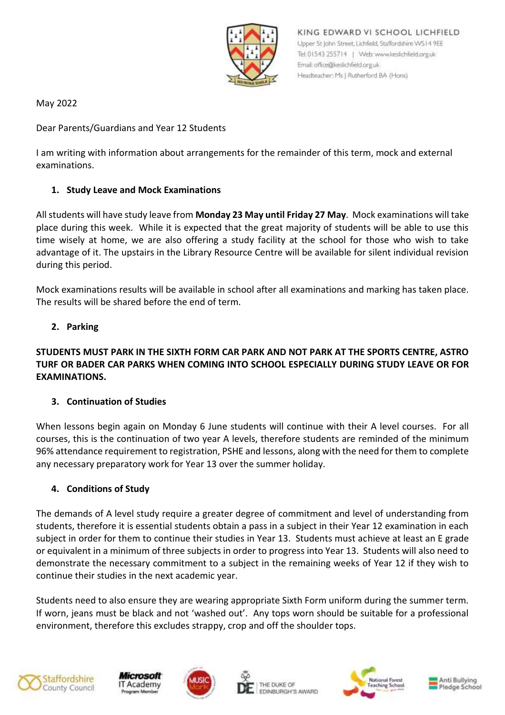

KING EDWARD VI SCHOOL LICHFIELD Upper St John Street, Lichfield, Staffordshire WS14 9EE Tel: 01543 255714 | Web: www.keslichfield.org.uk Email: office@keslichfield.org.uk Headteacher: Ms J Rutherford BA (Hons)

May 2022

Dear Parents/Guardians and Year 12 Students

I am writing with information about arrangements for the remainder of this term, mock and external examinations.

## **1. Study Leave and Mock Examinations**

All students will have study leave from **Monday 23 May until Friday 27 May**. Mock examinations will take place during this week. While it is expected that the great majority of students will be able to use this time wisely at home, we are also offering a study facility at the school for those who wish to take advantage of it. The upstairs in the Library Resource Centre will be available for silent individual revision during this period.

Mock examinations results will be available in school after all examinations and marking has taken place. The results will be shared before the end of term.

## **2. Parking**

# **STUDENTS MUST PARK IN THE SIXTH FORM CAR PARK AND NOT PARK AT THE SPORTS CENTRE, ASTRO TURF OR BADER CAR PARKS WHEN COMING INTO SCHOOL ESPECIALLY DURING STUDY LEAVE OR FOR EXAMINATIONS.**

#### **3. Continuation of Studies**

When lessons begin again on Monday 6 June students will continue with their A level courses. For all courses, this is the continuation of two year A levels, therefore students are reminded of the minimum 96% attendance requirement to registration, PSHE and lessons, along with the need for them to complete any necessary preparatory work for Year 13 over the summer holiday.

#### **4. Conditions of Study**

The demands of A level study require a greater degree of commitment and level of understanding from students, therefore it is essential students obtain a pass in a subject in their Year 12 examination in each subject in order for them to continue their studies in Year 13. Students must achieve at least an E grade or equivalent in a minimum of three subjects in order to progress into Year 13. Students will also need to demonstrate the necessary commitment to a subject in the remaining weeks of Year 12 if they wish to continue their studies in the next academic year.

Students need to also ensure they are wearing appropriate Sixth Form uniform during the summer term. If worn, jeans must be black and not 'washed out'. Any tops worn should be suitable for a professional environment, therefore this excludes strappy, crop and off the shoulder tops.